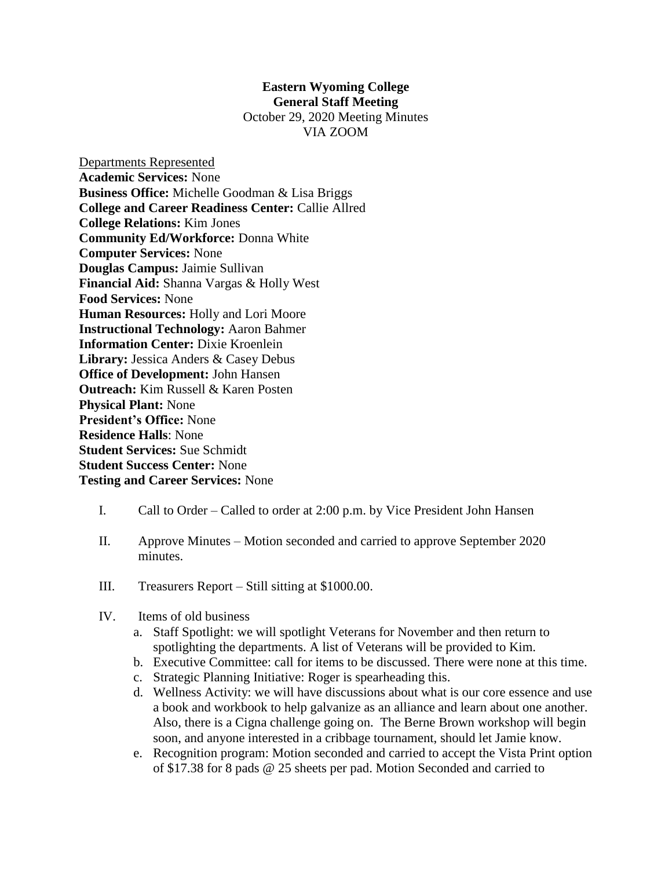## **Eastern Wyoming College General Staff Meeting** October 29, 2020 Meeting Minutes

VIA ZOOM

Departments Represented **Academic Services:** None **Business Office:** Michelle Goodman & Lisa Briggs **College and Career Readiness Center:** Callie Allred **College Relations:** Kim Jones **Community Ed/Workforce:** Donna White **Computer Services:** None **Douglas Campus:** Jaimie Sullivan **Financial Aid:** Shanna Vargas & Holly West **Food Services:** None **Human Resources:** Holly and Lori Moore **Instructional Technology:** Aaron Bahmer **Information Center:** Dixie Kroenlein **Library:** Jessica Anders & Casey Debus **Office of Development:** John Hansen **Outreach:** Kim Russell & Karen Posten **Physical Plant:** None **President's Office:** None **Residence Halls**: None **Student Services:** Sue Schmidt **Student Success Center:** None **Testing and Career Services:** None

- I. Call to Order Called to order at 2:00 p.m. by Vice President John Hansen
- II. Approve Minutes Motion seconded and carried to approve September 2020 minutes.
- III. Treasurers Report Still sitting at \$1000.00.
- IV. Items of old business
	- a. Staff Spotlight: we will spotlight Veterans for November and then return to spotlighting the departments. A list of Veterans will be provided to Kim.
	- b. Executive Committee: call for items to be discussed. There were none at this time.
	- c. Strategic Planning Initiative: Roger is spearheading this.
	- d. Wellness Activity: we will have discussions about what is our core essence and use a book and workbook to help galvanize as an alliance and learn about one another. Also, there is a Cigna challenge going on. The Berne Brown workshop will begin soon, and anyone interested in a cribbage tournament, should let Jamie know.
	- e. Recognition program: Motion seconded and carried to accept the Vista Print option of \$17.38 for 8 pads @ 25 sheets per pad. Motion Seconded and carried to